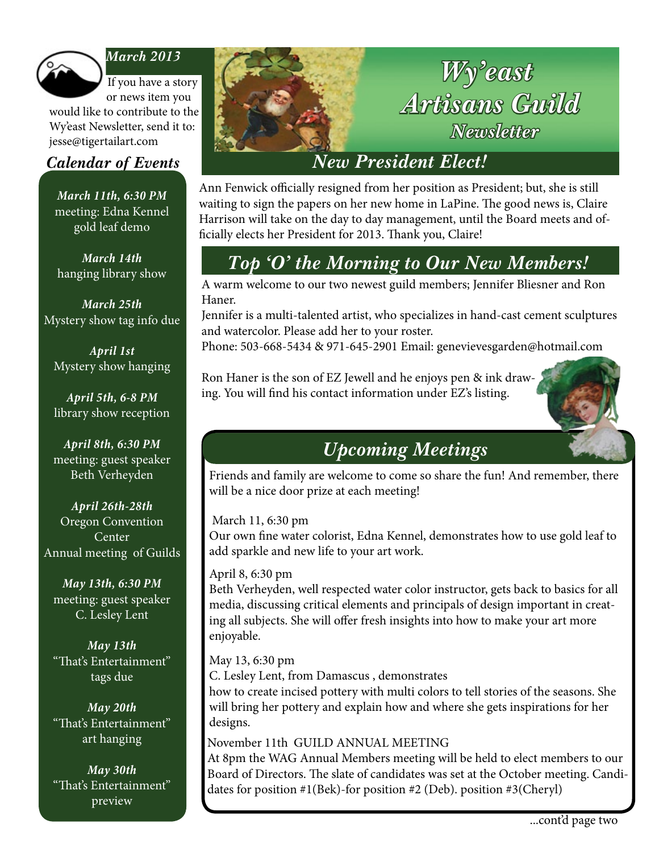

### *March 2013*

If you have a story or news item you

would like to contribute to the Wy'east Newsletter, send it to: jesse@tigertailart.com

*March 11th, 6:30 PM* meeting: Edna Kennel gold leaf demo

*March 14th* hanging library show

*March 25th* Mystery show tag info due

*April 1st* Mystery show hanging

*April 5th, 6-8 PM* library show reception

*April 8th, 6:30 PM* meeting: guest speaker Beth Verheyden

*April 26th-28th* Oregon Convention **Center** Annual meeting of Guilds

*May 13th, 6:30 PM* meeting: guest speaker C. Lesley Lent

*May 13th* "That's Entertainment" tags due

*May 20th* "That's Entertainment" art hanging

*May 30th* "That's Entertainment" preview



Ann Fenwick officially resigned from her position as President; but, she is still waiting to sign the papers on her new home in LaPine. The good news is, Claire Harrison will take on the day to day management, until the Board meets and officially elects her President for 2013. Thank you, Claire!

# *Top 'O' the Morning to Our New Members!*

A warm welcome to our two newest guild members; Jennifer Bliesner and Ron Haner.

Jennifer is a multi-talented artist, who specializes in hand-cast cement sculptures and watercolor. Please add her to your roster.

Phone: 503-668-5434 & 971-645-2901 Email: genevievesgarden@hotmail.com

Ron Haner is the son of EZ Jewell and he enjoys pen & ink drawing. You will find his contact information under EZ's listing.



# *Upcoming Meetings*

Friends and family are welcome to come so share the fun! And remember, there will be a nice door prize at each meeting!

### March 11, 6:30 pm

Our own fine water colorist, Edna Kennel, demonstrates how to use gold leaf to add sparkle and new life to your art work.

### April 8, 6:30 pm

Beth Verheyden, well respected water color instructor, gets back to basics for all media, discussing critical elements and principals of design important in creating all subjects. She will offer fresh insights into how to make your art more enjoyable.

#### May 13, 6:30 pm

May 13, 6:30 pm<br>C. Lesley Lent, from Damascus , demonstrates how to create incised pottery with multi colors to tell stories of the seasons. She will bring her pottery and explain how and where she gets inspirations for her

designs. November 11th GUILD ANNUAL MEETING

At 8pm the WAG Annual Members meeting will be held to elect members to our Board of Directors. The slate of candidates was set at the October meeting. Candidates for position #1(Bek)-for position #2 (Deb). position #3(Cheryl)